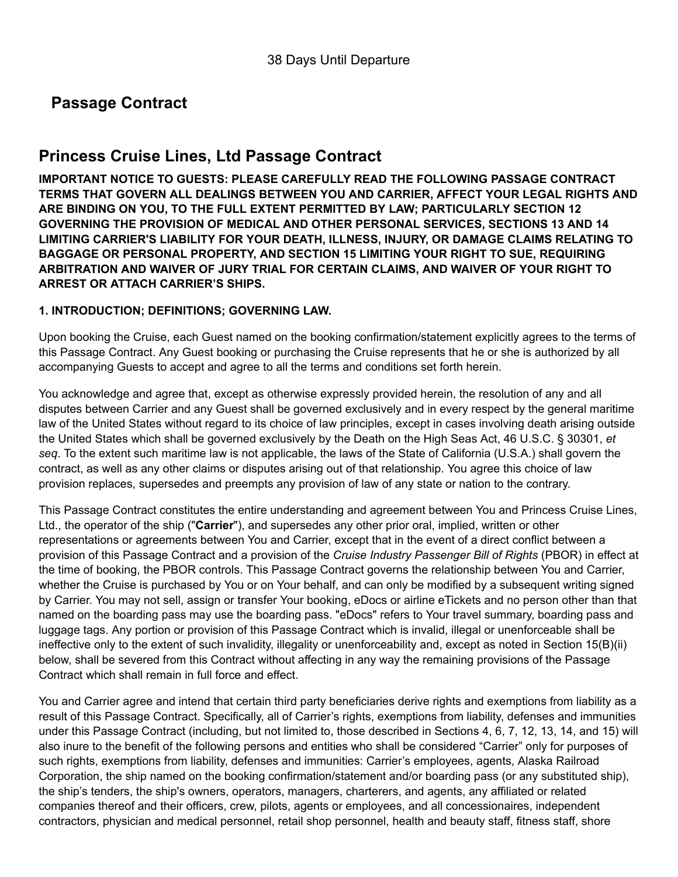# **Passage Contract**

## **Princess Cruise Lines, Ltd Passage Contract**

**IMPORTANT NOTICE TO GUESTS: PLEASE CAREFULLY READ THE FOLLOWING PASSAGE CONTRACT TERMS THAT GOVERN ALL DEALINGS BETWEEN YOU AND CARRIER, AFFECT YOUR LEGAL RIGHTS AND ARE BINDING ON YOU, TO THE FULL EXTENT PERMITTED BY LAW; PARTICULARLY SECTION 12 GOVERNING THE PROVISION OF MEDICAL AND OTHER PERSONAL SERVICES, SECTIONS 13 AND 14 LIMITING CARRIER'S LIABILITY FOR YOUR DEATH, ILLNESS, INJURY, OR DAMAGE CLAIMS RELATING TO BAGGAGE OR PERSONAL PROPERTY, AND SECTION 15 LIMITING YOUR RIGHT TO SUE, REQUIRING ARBITRATION AND WAIVER OF JURY TRIAL FOR CERTAIN CLAIMS, AND WAIVER OF YOUR RIGHT TO ARREST OR ATTACH CARRIER'S SHIPS.**

### **1. INTRODUCTION; DEFINITIONS; GOVERNING LAW.**

Upon booking the Cruise, each Guest named on the booking confirmation/statement explicitly agrees to the terms of this Passage Contract. Any Guest booking or purchasing the Cruise represents that he or she is authorized by all accompanying Guests to accept and agree to all the terms and conditions set forth herein.

You acknowledge and agree that, except as otherwise expressly provided herein, the resolution of any and all disputes between Carrier and any Guest shall be governed exclusively and in every respect by the general maritime law of the United States without regard to its choice of law principles, except in cases involving death arising outside the United States which shall be governed exclusively by the Death on the High Seas Act, 46 U.S.C. § 30301, *et seq*. To the extent such maritime law is not applicable, the laws of the State of California (U.S.A.) shall govern the contract, as well as any other claims or disputes arising out of that relationship. You agree this choice of law provision replaces, supersedes and preempts any provision of law of any state or nation to the contrary.

This Passage Contract constitutes the entire understanding and agreement between You and Princess Cruise Lines, Ltd., the operator of the ship ("**Carrier**"), and supersedes any other prior oral, implied, written or other representations or agreements between You and Carrier, except that in the event of a direct conflict between a provision of this Passage Contract and a provision of the *Cruise Industry Passenger Bill of Rights* (PBOR) in effect at the time of booking, the PBOR controls. This Passage Contract governs the relationship between You and Carrier, whether the Cruise is purchased by You or on Your behalf, and can only be modified by a subsequent writing signed by Carrier. You may not sell, assign or transfer Your booking, eDocs or airline eTickets and no person other than that named on the boarding pass may use the boarding pass. "eDocs" refers to Your travel summary, boarding pass and luggage tags. Any portion or provision of this Passage Contract which is invalid, illegal or unenforceable shall be ineffective only to the extent of such invalidity, illegality or unenforceability and, except as noted in Section 15(B)(ii) below, shall be severed from this Contract without affecting in any way the remaining provisions of the Passage Contract which shall remain in full force and effect.

You and Carrier agree and intend that certain third party beneficiaries derive rights and exemptions from liability as a result of this Passage Contract. Specifically, all of Carrier's rights, exemptions from liability, defenses and immunities under this Passage Contract (including, but not limited to, those described in Sections 4, 6, 7, 12, 13, 14, and 15) will also inure to the benefit of the following persons and entities who shall be considered "Carrier" only for purposes of such rights, exemptions from liability, defenses and immunities: Carrier's employees, agents, Alaska Railroad Corporation, the ship named on the booking confirmation/statement and/or boarding pass (or any substituted ship), the ship's tenders, the ship's owners, operators, managers, charterers, and agents, any affiliated or related companies thereof and their officers, crew, pilots, agents or employees, and all concessionaires, independent contractors, physician and medical personnel, retail shop personnel, health and beauty staff, fitness staff, shore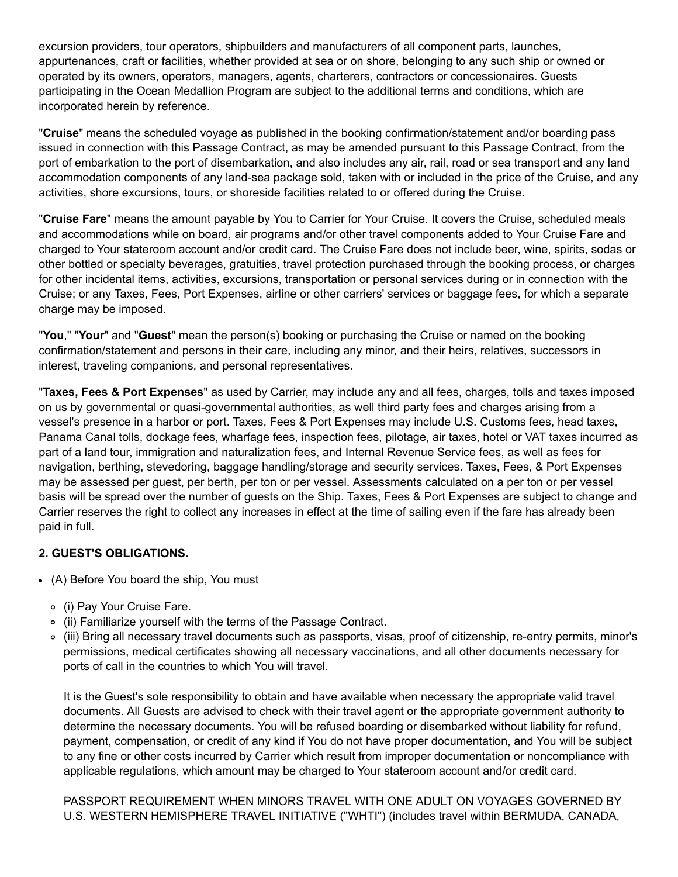excursion providers, tour operators, shipbuilders and manufacturers of all component parts, launches, appurtenances, craft or facilities, whether provided at sea or on shore, belonging to any such ship or owned or operated by its owners, operators, managers, agents, charterers, contractors or concessionaires. Guests participating in the Ocean Medallion Program are subject to the additional terms and conditions, which are incorporated herein by reference.

"**Cruise**" means the scheduled voyage as published in the booking confirmation/statement and/or boarding pass issued in connection with this Passage Contract, as may be amended pursuant to this Passage Contract, from the port of embarkation to the port of disembarkation, and also includes any air, rail, road or sea transport and any land accommodation components of any land-sea package sold, taken with or included in the price of the Cruise, and any activities, shore excursions, tours, or shoreside facilities related to or offered during the Cruise.

"**Cruise Fare**" means the amount payable by You to Carrier for Your Cruise. It covers the Cruise, scheduled meals and accommodations while on board, air programs and/or other travel components added to Your Cruise Fare and charged to Your stateroom account and/or credit card. The Cruise Fare does not include beer, wine, spirits, sodas or other bottled or specialty beverages, gratuities, travel protection purchased through the booking process, or charges for other incidental items, activities, excursions, transportation or personal services during or in connection with the Cruise; or any Taxes, Fees, Port Expenses, airline or other carriers' services or baggage fees, for which a separate charge may be imposed.

"**You**," "**Your**" and "**Guest**" mean the person(s) booking or purchasing the Cruise or named on the booking confirmation/statement and persons in their care, including any minor, and their heirs, relatives, successors in interest, traveling companions, and personal representatives.

"**Taxes, Fees & Port Expenses**" as used by Carrier, may include any and all fees, charges, tolls and taxes imposed on us by governmental or quasi-governmental authorities, as well third party fees and charges arising from a vessel's presence in a harbor or port. Taxes, Fees & Port Expenses may include U.S. Customs fees, head taxes, Panama Canal tolls, dockage fees, wharfage fees, inspection fees, pilotage, air taxes, hotel or VAT taxes incurred as part of a land tour, immigration and naturalization fees, and Internal Revenue Service fees, as well as fees for navigation, berthing, stevedoring, baggage handling/storage and security services. Taxes, Fees, & Port Expenses may be assessed per guest, per berth, per ton or per vessel. Assessments calculated on a per ton or per vessel basis will be spread over the number of guests on the Ship. Taxes, Fees & Port Expenses are subject to change and Carrier reserves the right to collect any increases in effect at the time of sailing even if the fare has already been paid in full.

### **2. GUEST'S OBLIGATIONS.**

- (A) Before You board the ship, You must
	- (i) Pay Your Cruise Fare.
	- (ii) Familiarize yourself with the terms of the Passage Contract.
	- (iii) Bring all necessary travel documents such as passports, visas, proof of citizenship, reentry permits, minor's permissions, medical certificates showing all necessary vaccinations, and all other documents necessary for ports of call in the countries to which You will travel.

It is the Guest's sole responsibility to obtain and have available when necessary the appropriate valid travel documents. All Guests are advised to check with their travel agent or the appropriate government authority to determine the necessary documents. You will be refused boarding or disembarked without liability for refund, payment, compensation, or credit of any kind if You do not have proper documentation, and You will be subject to any fine or other costs incurred by Carrier which result from improper documentation or noncompliance with applicable regulations, which amount may be charged to Your stateroom account and/or credit card.

PASSPORT REQUIREMENT WHEN MINORS TRAVEL WITH ONE ADULT ON VOYAGES GOVERNED BY U.S. WESTERN HEMISPHERE TRAVEL INITIATIVE ("WHTI") (includes travel within BERMUDA, CANADA,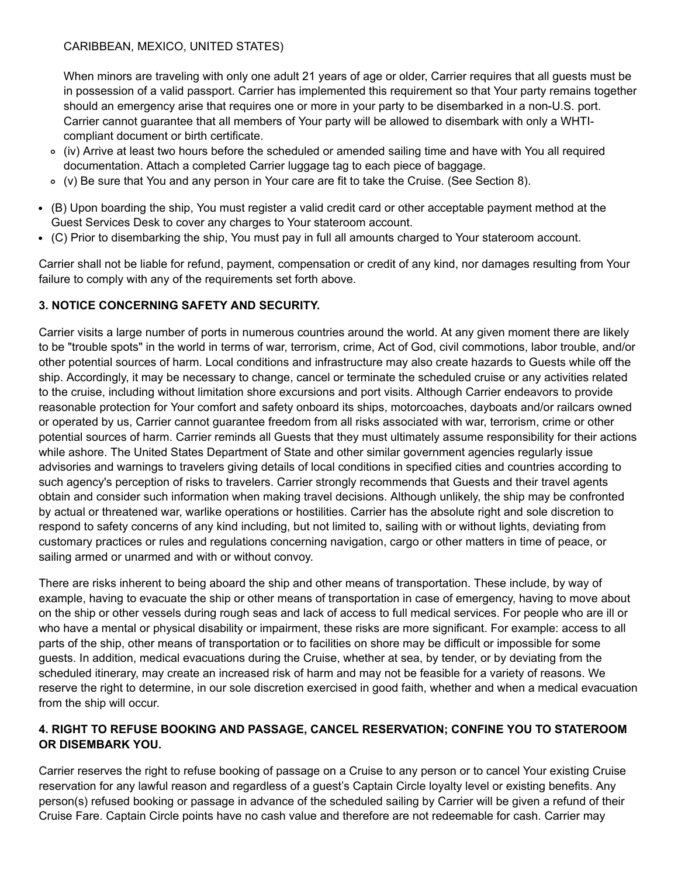When minors are traveling with only one adult 21 years of age or older, Carrier requires that all guests must be in possession of a valid passport. Carrier has implemented this requirement so that Your party remains together should an emergency arise that requires one or more in your party to be disembarked in a non-U.S. port. Carrier cannot guarantee that all members of Your party will be allowed to disembark with only a WHTIcompliant document or birth certificate.

- (iv) Arrive at least two hours before the scheduled or amended sailing time and have with You all required documentation. Attach a completed Carrier luggage tag to each piece of baggage.
- (v) Be sure that You and any person in Your care are fit to take the Cruise. (See Section 8).
- (B) Upon boarding the ship, You must register a valid credit card or other acceptable payment method at the Guest Services Desk to cover any charges to Your stateroom account.
- (C) Prior to disembarking the ship, You must pay in full all amounts charged to Your stateroom account.

Carrier shall not be liable for refund, payment, compensation or credit of any kind, nor damages resulting from Your failure to comply with any of the requirements set forth above.

## **3. NOTICE CONCERNING SAFETY AND SECURITY.**

Carrier visits a large number of ports in numerous countries around the world. At any given moment there are likely to be "trouble spots" in the world in terms of war, terrorism, crime, Act of God, civil commotions, labor trouble, and/or other potential sources of harm. Local conditions and infrastructure may also create hazards to Guests while off the ship. Accordingly, it may be necessary to change, cancel or terminate the scheduled cruise or any activities related to the cruise, including without limitation shore excursions and port visits. Although Carrier endeavors to provide reasonable protection for Your comfort and safety onboard its ships, motorcoaches, dayboats and/or railcars owned or operated by us, Carrier cannot guarantee freedom from all risks associated with war, terrorism, crime or other potential sources of harm. Carrier reminds all Guests that they must ultimately assume responsibility for their actions while ashore. The United States Department of State and other similar government agencies regularly issue advisories and warnings to travelers giving details of local conditions in specified cities and countries according to such agency's perception of risks to travelers. Carrier strongly recommends that Guests and their travel agents obtain and consider such information when making travel decisions. Although unlikely, the ship may be confronted by actual or threatened war, warlike operations or hostilities. Carrier has the absolute right and sole discretion to respond to safety concerns of any kind including, but not limited to, sailing with or without lights, deviating from customary practices or rules and regulations concerning navigation, cargo or other matters in time of peace, or sailing armed or unarmed and with or without convoy.

There are risks inherent to being aboard the ship and other means of transportation. These include, by way of example, having to evacuate the ship or other means of transportation in case of emergency, having to move about on the ship or other vessels during rough seas and lack of access to full medical services. For people who are ill or who have a mental or physical disability or impairment, these risks are more significant. For example: access to all parts of the ship, other means of transportation or to facilities on shore may be difficult or impossible for some guests. In addition, medical evacuations during the Cruise, whether at sea, by tender, or by deviating from the scheduled itinerary, may create an increased risk of harm and may not be feasible for a variety of reasons. We reserve the right to determine, in our sole discretion exercised in good faith, whether and when a medical evacuation from the ship will occur.

## **4. RIGHT TO REFUSE BOOKING AND PASSAGE, CANCEL RESERVATION; CONFINE YOU TO STATEROOM OR DISEMBARK YOU.**

Carrier reserves the right to refuse booking of passage on a Cruise to any person or to cancel Your existing Cruise reservation for any lawful reason and regardless of a guest's Captain Circle loyalty level or existing benefits. Any person(s) refused booking or passage in advance of the scheduled sailing by Carrier will be given a refund of their Cruise Fare. Captain Circle points have no cash value and therefore are not redeemable for cash. Carrier may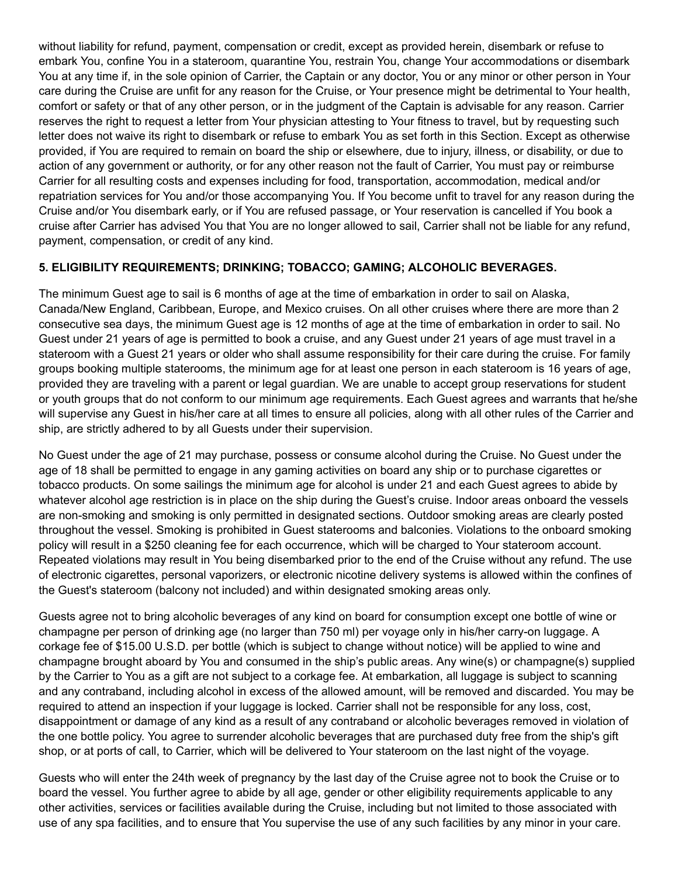without liability for refund, payment, compensation or credit, except as provided herein, disembark or refuse to embark You, confine You in a stateroom, quarantine You, restrain You, change Your accommodations or disembark You at any time if, in the sole opinion of Carrier, the Captain or any doctor, You or any minor or other person in Your care during the Cruise are unfit for any reason for the Cruise, or Your presence might be detrimental to Your health, comfort or safety or that of any other person, or in the judgment of the Captain is advisable for any reason. Carrier reserves the right to request a letter from Your physician attesting to Your fitness to travel, but by requesting such letter does not waive its right to disembark or refuse to embark You as set forth in this Section. Except as otherwise provided, if You are required to remain on board the ship or elsewhere, due to injury, illness, or disability, or due to action of any government or authority, or for any other reason not the fault of Carrier, You must pay or reimburse Carrier for all resulting costs and expenses including for food, transportation, accommodation, medical and/or repatriation services for You and/or those accompanying You. If You become unfit to travel for any reason during the Cruise and/or You disembark early, or if You are refused passage, or Your reservation is cancelled if You book a cruise after Carrier has advised You that You are no longer allowed to sail, Carrier shall not be liable for any refund, payment, compensation, or credit of any kind.

## **5. ELIGIBILITY REQUIREMENTS; DRINKING; TOBACCO; GAMING; ALCOHOLIC BEVERAGES.**

The minimum Guest age to sail is 6 months of age at the time of embarkation in order to sail on Alaska, Canada/New England, Caribbean, Europe, and Mexico cruises. On all other cruises where there are more than 2 consecutive sea days, the minimum Guest age is 12 months of age at the time of embarkation in order to sail. No Guest under 21 years of age is permitted to book a cruise, and any Guest under 21 years of age must travel in a stateroom with a Guest 21 years or older who shall assume responsibility for their care during the cruise. For family groups booking multiple staterooms, the minimum age for at least one person in each stateroom is 16 years of age, provided they are traveling with a parent or legal guardian. We are unable to accept group reservations for student or youth groups that do not conform to our minimum age requirements. Each Guest agrees and warrants that he/she will supervise any Guest in his/her care at all times to ensure all policies, along with all other rules of the Carrier and ship, are strictly adhered to by all Guests under their supervision.

No Guest under the age of 21 may purchase, possess or consume alcohol during the Cruise. No Guest under the age of 18 shall be permitted to engage in any gaming activities on board any ship or to purchase cigarettes or tobacco products. On some sailings the minimum age for alcohol is under 21 and each Guest agrees to abide by whatever alcohol age restriction is in place on the ship during the Guest's cruise. Indoor areas onboard the vessels are non-smoking and smoking is only permitted in designated sections. Outdoor smoking areas are clearly posted throughout the vessel. Smoking is prohibited in Guest staterooms and balconies. Violations to the onboard smoking policy will result in a \$250 cleaning fee for each occurrence, which will be charged to Your stateroom account. Repeated violations may result in You being disembarked prior to the end of the Cruise without any refund. The use of electronic cigarettes, personal vaporizers, or electronic nicotine delivery systems is allowed within the confines of the Guest's stateroom (balcony not included) and within designated smoking areas only.

Guests agree not to bring alcoholic beverages of any kind on board for consumption except one bottle of wine or champagne per person of drinking age (no larger than 750 ml) per voyage only in his/her carry-on luggage. A corkage fee of \$15.00 U.S.D. per bottle (which is subject to change without notice) will be applied to wine and champagne brought aboard by You and consumed in the ship's public areas. Any wine(s) or champagne(s) supplied by the Carrier to You as a gift are not subject to a corkage fee. At embarkation, all luggage is subject to scanning and any contraband, including alcohol in excess of the allowed amount, will be removed and discarded. You may be required to attend an inspection if your luggage is locked. Carrier shall not be responsible for any loss, cost, disappointment or damage of any kind as a result of any contraband or alcoholic beverages removed in violation of the one bottle policy. You agree to surrender alcoholic beverages that are purchased duty free from the ship's gift shop, or at ports of call, to Carrier, which will be delivered to Your stateroom on the last night of the voyage.

Guests who will enter the 24th week of pregnancy by the last day of the Cruise agree not to book the Cruise or to board the vessel. You further agree to abide by all age, gender or other eligibility requirements applicable to any other activities, services or facilities available during the Cruise, including but not limited to those associated with use of any spa facilities, and to ensure that You supervise the use of any such facilities by any minor in your care.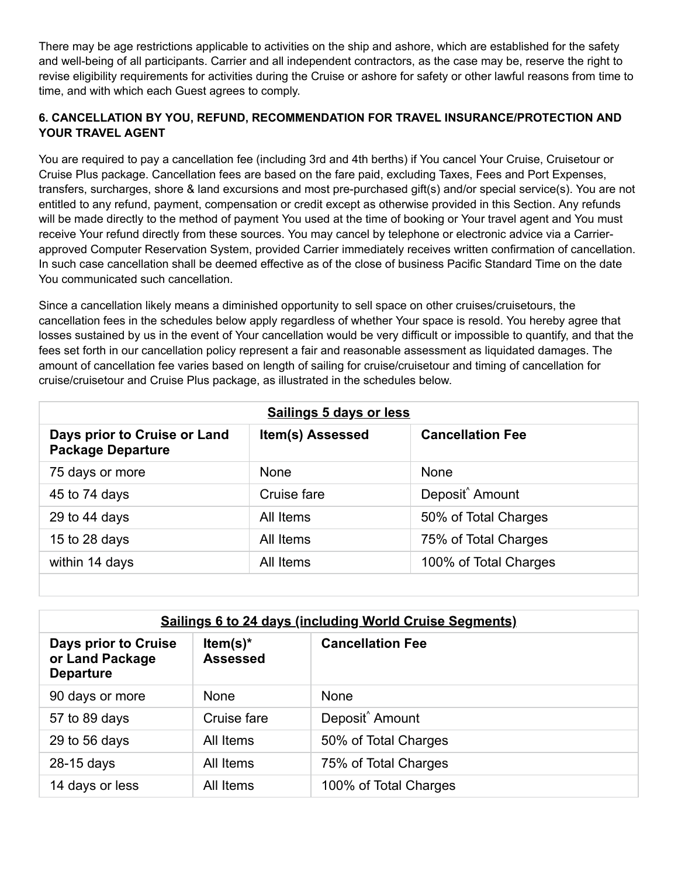There may be age restrictions applicable to activities on the ship and ashore, which are established for the safety and well-being of all participants. Carrier and all independent contractors, as the case may be, reserve the right to revise eligibility requirements for activities during the Cruise or ashore for safety or other lawful reasons from time to time, and with which each Guest agrees to comply.

## **6. CANCELLATION BY YOU, REFUND, RECOMMENDATION FOR TRAVEL INSURANCE/PROTECTION AND YOUR TRAVEL AGENT**

You are required to pay a cancellation fee (including 3rd and 4th berths) if You cancel Your Cruise, Cruisetour or Cruise Plus package. Cancellation fees are based on the fare paid, excluding Taxes, Fees and Port Expenses, transfers, surcharges, shore & land excursions and most pre-purchased gift(s) and/or special service(s). You are not entitled to any refund, payment, compensation or credit except as otherwise provided in this Section. Any refunds will be made directly to the method of payment You used at the time of booking or Your travel agent and You must receive Your refund directly from these sources. You may cancel by telephone or electronic advice via a Carrierapproved Computer Reservation System, provided Carrier immediately receives written confirmation of cancellation. In such case cancellation shall be deemed effective as of the close of business Pacific Standard Time on the date You communicated such cancellation.

Since a cancellation likely means a diminished opportunity to sell space on other cruises/cruisetours, the cancellation fees in the schedules below apply regardless of whether Your space is resold. You hereby agree that losses sustained by us in the event of Your cancellation would be very difficult or impossible to quantify, and that the fees set forth in our cancellation policy represent a fair and reasonable assessment as liquidated damages. The amount of cancellation fee varies based on length of sailing for cruise/cruisetour and timing of cancellation for cruise/cruisetour and Cruise Plus package, as illustrated in the schedules below.

| Sailings 5 days or less                                  |                  |                             |  |  |
|----------------------------------------------------------|------------------|-----------------------------|--|--|
| Days prior to Cruise or Land<br><b>Package Departure</b> | Item(s) Assessed | <b>Cancellation Fee</b>     |  |  |
| 75 days or more                                          | <b>None</b>      | None                        |  |  |
| 45 to 74 days                                            | Cruise fare      | Deposit <sup>^</sup> Amount |  |  |
| 29 to 44 days                                            | All Items        | 50% of Total Charges        |  |  |
| 15 to 28 days                                            | All Items        | 75% of Total Charges        |  |  |
| within 14 days                                           | All Items        | 100% of Total Charges       |  |  |

| <b>Sailings 6 to 24 days (including World Cruise Segments)</b> |                                |                             |  |
|----------------------------------------------------------------|--------------------------------|-----------------------------|--|
| Days prior to Cruise<br>or Land Package<br><b>Departure</b>    | Item(s) $*$<br><b>Assessed</b> | <b>Cancellation Fee</b>     |  |
| 90 days or more                                                | <b>None</b>                    | <b>None</b>                 |  |
| 57 to 89 days                                                  | Cruise fare                    | Deposit <sup>^</sup> Amount |  |
| 29 to 56 days                                                  | All Items                      | 50% of Total Charges        |  |
| 28-15 days                                                     | All Items                      | 75% of Total Charges        |  |
| 14 days or less                                                | All Items                      | 100% of Total Charges       |  |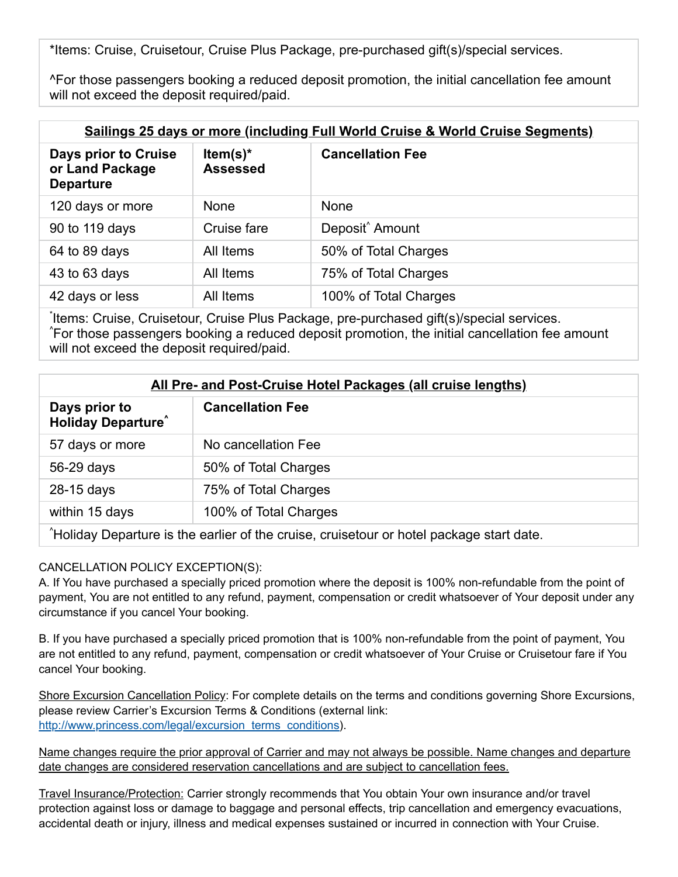\*Items: Cruise, Cruisetour, Cruise Plus Package, pre-purchased gift(s)/special services.

^For those passengers booking a reduced deposit promotion, the initial cancellation fee amount will not exceed the deposit required/paid.

| <b>Sailings 25 days or more (including Full World Cruise &amp; World Cruise Segments)</b> |                                |                             |  |
|-------------------------------------------------------------------------------------------|--------------------------------|-----------------------------|--|
| Days prior to Cruise<br>or Land Package<br><b>Departure</b>                               | Item(s) $*$<br><b>Assessed</b> | <b>Cancellation Fee</b>     |  |
| 120 days or more                                                                          | <b>None</b>                    | <b>None</b>                 |  |
| 90 to 119 days                                                                            | Cruise fare                    | Deposit <sup>^</sup> Amount |  |
| 64 to 89 days                                                                             | All Items                      | 50% of Total Charges        |  |
| 43 to 63 days                                                                             | All Items                      | 75% of Total Charges        |  |
| 42 days or less                                                                           | All Items                      | 100% of Total Charges       |  |
|                                                                                           |                                |                             |  |

Items: Cruise, Cruisetour, Cruise Plus Package, pre-purchased gift(s)/special services. For those passengers booking a reduced deposit promotion, the initial cancellation fee amount ^ will not exceed the deposit required/paid.

| All Pre- and Post-Cruise Hotel Packages (all cruise lengths)                             |                         |  |
|------------------------------------------------------------------------------------------|-------------------------|--|
| Days prior to<br><b>Holiday Departure</b>                                                | <b>Cancellation Fee</b> |  |
| 57 days or more                                                                          | No cancellation Fee     |  |
| 56-29 days                                                                               | 50% of Total Charges    |  |
| 28-15 days                                                                               | 75% of Total Charges    |  |
| within 15 days                                                                           | 100% of Total Charges   |  |
| "Holiday Departure is the earlier of the cruise, cruisetour or hotel package start date. |                         |  |

## CANCELLATION POLICY EXCEPTION(S):

A. If You have purchased a specially priced promotion where the deposit is 100% nonrefundable from the point of payment, You are not entitled to any refund, payment, compensation or credit whatsoever of Your deposit under any circumstance if you cancel Your booking.

B. If you have purchased a specially priced promotion that is 100% non-refundable from the point of payment, You are not entitled to any refund, payment, compensation or credit whatsoever of Your Cruise or Cruisetour fare if You cancel Your booking.

Shore Excursion Cancellation Policy: For complete details on the terms and conditions governing Shore Excursions, please review Carrier's Excursion Terms & Conditions (external link: [http://www.princess.com/legal/excursion\\_terms\\_conditions\)](http://www.princess.com/legal/excursion_terms_conditions).

Name changes require the prior approval of Carrier and may not always be possible. Name changes and departure date changes are considered reservation cancellations and are subject to cancellation fees.

Travel Insurance/Protection: Carrier strongly recommends that You obtain Your own insurance and/or travel protection against loss or damage to baggage and personal effects, trip cancellation and emergency evacuations, accidental death or injury, illness and medical expenses sustained or incurred in connection with Your Cruise.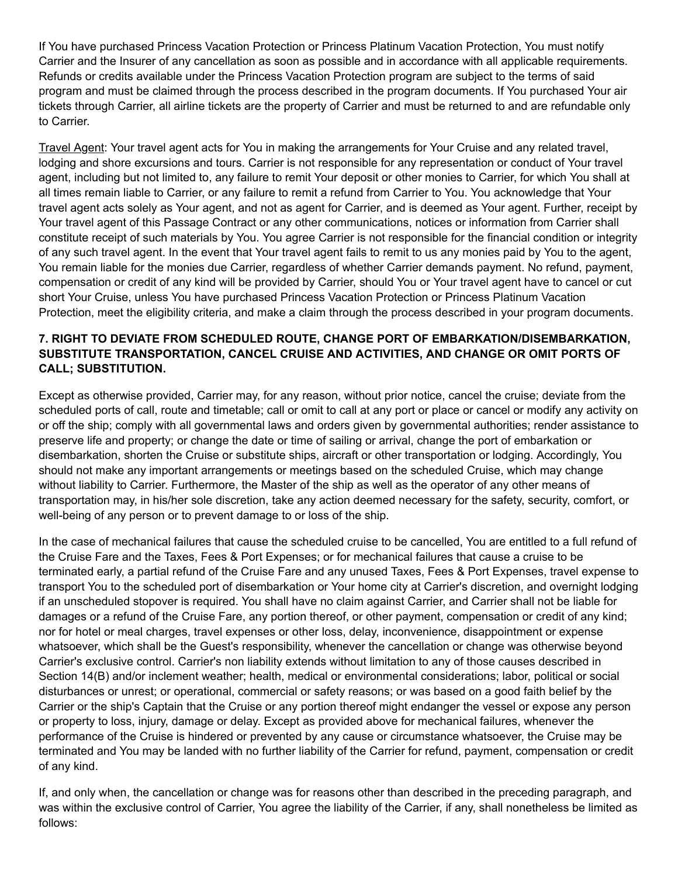If You have purchased Princess Vacation Protection or Princess Platinum Vacation Protection, You must notify Carrier and the Insurer of any cancellation as soon as possible and in accordance with all applicable requirements. Refunds or credits available under the Princess Vacation Protection program are subject to the terms of said program and must be claimed through the process described in the program documents. If You purchased Your air tickets through Carrier, all airline tickets are the property of Carrier and must be returned to and are refundable only to Carrier.

Travel Agent: Your travel agent acts for You in making the arrangements for Your Cruise and any related travel, lodging and shore excursions and tours. Carrier is not responsible for any representation or conduct of Your travel agent, including but not limited to, any failure to remit Your deposit or other monies to Carrier, for which You shall at all times remain liable to Carrier, or any failure to remit a refund from Carrier to You. You acknowledge that Your travel agent acts solely as Your agent, and not as agent for Carrier, and is deemed as Your agent. Further, receipt by Your travel agent of this Passage Contract or any other communications, notices or information from Carrier shall constitute receipt of such materials by You. You agree Carrier is not responsible for the financial condition or integrity of any such travel agent. In the event that Your travel agent fails to remit to us any monies paid by You to the agent, You remain liable for the monies due Carrier, regardless of whether Carrier demands payment. No refund, payment, compensation or credit of any kind will be provided by Carrier, should You or Your travel agent have to cancel or cut short Your Cruise, unless You have purchased Princess Vacation Protection or Princess Platinum Vacation Protection, meet the eligibility criteria, and make a claim through the process described in your program documents.

## **7. RIGHT TO DEVIATE FROM SCHEDULED ROUTE, CHANGE PORT OF EMBARKATION/DISEMBARKATION, SUBSTITUTE TRANSPORTATION, CANCEL CRUISE AND ACTIVITIES, AND CHANGE OR OMIT PORTS OF CALL; SUBSTITUTION.**

Except as otherwise provided, Carrier may, for any reason, without prior notice, cancel the cruise; deviate from the scheduled ports of call, route and timetable; call or omit to call at any port or place or cancel or modify any activity on or off the ship; comply with all governmental laws and orders given by governmental authorities; render assistance to preserve life and property; or change the date or time of sailing or arrival, change the port of embarkation or disembarkation, shorten the Cruise or substitute ships, aircraft or other transportation or lodging. Accordingly, You should not make any important arrangements or meetings based on the scheduled Cruise, which may change without liability to Carrier. Furthermore, the Master of the ship as well as the operator of any other means of transportation may, in his/her sole discretion, take any action deemed necessary for the safety, security, comfort, or well-being of any person or to prevent damage to or loss of the ship.

In the case of mechanical failures that cause the scheduled cruise to be cancelled, You are entitled to a full refund of the Cruise Fare and the Taxes, Fees & Port Expenses; or for mechanical failures that cause a cruise to be terminated early, a partial refund of the Cruise Fare and any unused Taxes, Fees & Port Expenses, travel expense to transport You to the scheduled port of disembarkation or Your home city at Carrier's discretion, and overnight lodging if an unscheduled stopover is required. You shall have no claim against Carrier, and Carrier shall not be liable for damages or a refund of the Cruise Fare, any portion thereof, or other payment, compensation or credit of any kind; nor for hotel or meal charges, travel expenses or other loss, delay, inconvenience, disappointment or expense whatsoever, which shall be the Guest's responsibility, whenever the cancellation or change was otherwise beyond Carrier's exclusive control. Carrier's non liability extends without limitation to any of those causes described in Section 14(B) and/or inclement weather; health, medical or environmental considerations; labor, political or social disturbances or unrest; or operational, commercial or safety reasons; or was based on a good faith belief by the Carrier or the ship's Captain that the Cruise or any portion thereof might endanger the vessel or expose any person or property to loss, injury, damage or delay. Except as provided above for mechanical failures, whenever the performance of the Cruise is hindered or prevented by any cause or circumstance whatsoever, the Cruise may be terminated and You may be landed with no further liability of the Carrier for refund, payment, compensation or credit of any kind.

If, and only when, the cancellation or change was for reasons other than described in the preceding paragraph, and was within the exclusive control of Carrier, You agree the liability of the Carrier, if any, shall nonetheless be limited as follows: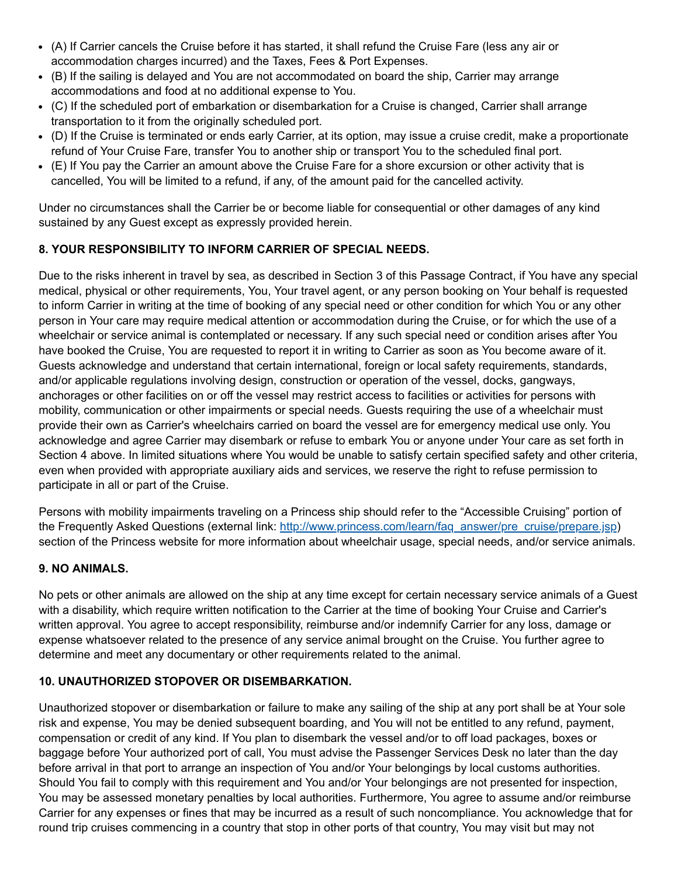- (A) If Carrier cancels the Cruise before it has started, it shall refund the Cruise Fare (less any air or accommodation charges incurred) and the Taxes, Fees & Port Expenses.
- (B) If the sailing is delayed and You are not accommodated on board the ship, Carrier may arrange accommodations and food at no additional expense to You.
- (C) If the scheduled port of embarkation or disembarkation for a Cruise is changed, Carrier shall arrange transportation to it from the originally scheduled port.
- (D) If the Cruise is terminated or ends early Carrier, at its option, may issue a cruise credit, make a proportionate refund of Your Cruise Fare, transfer You to another ship or transport You to the scheduled final port.
- (E) If You pay the Carrier an amount above the Cruise Fare for a shore excursion or other activity that is cancelled, You will be limited to a refund, if any, of the amount paid for the cancelled activity.

Under no circumstances shall the Carrier be or become liable for consequential or other damages of any kind sustained by any Guest except as expressly provided herein.

## **8. YOUR RESPONSIBILITY TO INFORM CARRIER OF SPECIAL NEEDS.**

Due to the risks inherent in travel by sea, as described in Section 3 of this Passage Contract, if You have any special medical, physical or other requirements, You, Your travel agent, or any person booking on Your behalf is requested to inform Carrier in writing at the time of booking of any special need or other condition for which You or any other person in Your care may require medical attention or accommodation during the Cruise, or for which the use of a wheelchair or service animal is contemplated or necessary. If any such special need or condition arises after You have booked the Cruise, You are requested to report it in writing to Carrier as soon as You become aware of it. Guests acknowledge and understand that certain international, foreign or local safety requirements, standards, and/or applicable regulations involving design, construction or operation of the vessel, docks, gangways, anchorages or other facilities on or off the vessel may restrict access to facilities or activities for persons with mobility, communication or other impairments or special needs. Guests requiring the use of a wheelchair must provide their own as Carrier's wheelchairs carried on board the vessel are for emergency medical use only. You acknowledge and agree Carrier may disembark or refuse to embark You or anyone under Your care as set forth in Section 4 above. In limited situations where You would be unable to satisfy certain specified safety and other criteria, even when provided with appropriate auxiliary aids and services, we reserve the right to refuse permission to participate in all or part of the Cruise.

Persons with mobility impairments traveling on a Princess ship should refer to the "Accessible Cruising" portion of the Frequently Asked Questions (external link: [http://www.princess.com/learn/faq\\_answer/pre\\_cruise/prepare.jsp](http://www.princess.com/learn/faq_answer/pre_cruise/prepare.jsp)) section of the Princess website for more information about wheelchair usage, special needs, and/or service animals.

### **9. NO ANIMALS.**

No pets or other animals are allowed on the ship at any time except for certain necessary service animals of a Guest with a disability, which require written notification to the Carrier at the time of booking Your Cruise and Carrier's written approval. You agree to accept responsibility, reimburse and/or indemnify Carrier for any loss, damage or expense whatsoever related to the presence of any service animal brought on the Cruise. You further agree to determine and meet any documentary or other requirements related to the animal.

### **10. UNAUTHORIZED STOPOVER OR DISEMBARKATION.**

Unauthorized stopover or disembarkation or failure to make any sailing of the ship at any port shall be at Your sole risk and expense, You may be denied subsequent boarding, and You will not be entitled to any refund, payment, compensation or credit of any kind. If You plan to disembark the vessel and/or to off load packages, boxes or baggage before Your authorized port of call, You must advise the Passenger Services Desk no later than the day before arrival in that port to arrange an inspection of You and/or Your belongings by local customs authorities. Should You fail to comply with this requirement and You and/or Your belongings are not presented for inspection, You may be assessed monetary penalties by local authorities. Furthermore, You agree to assume and/or reimburse Carrier for any expenses or fines that may be incurred as a result of such noncompliance. You acknowledge that for round trip cruises commencing in a country that stop in other ports of that country, You may visit but may not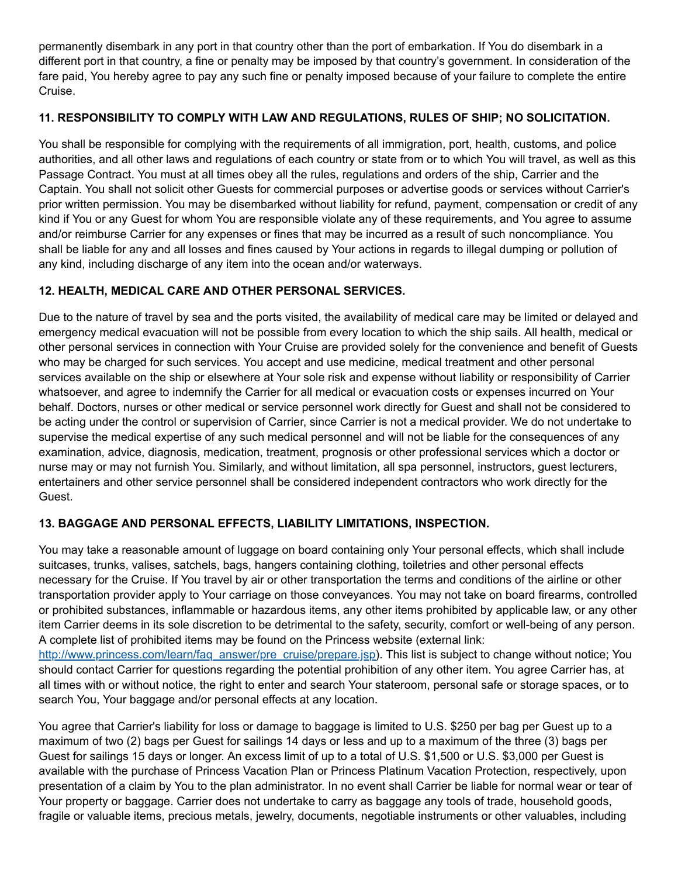permanently disembark in any port in that country other than the port of embarkation. If You do disembark in a different port in that country, a fine or penalty may be imposed by that country's government. In consideration of the fare paid, You hereby agree to pay any such fine or penalty imposed because of your failure to complete the entire Cruise.

## **11. RESPONSIBILITY TO COMPLY WITH LAW AND REGULATIONS, RULES OF SHIP; NO SOLICITATION.**

You shall be responsible for complying with the requirements of all immigration, port, health, customs, and police authorities, and all other laws and regulations of each country or state from or to which You will travel, as well as this Passage Contract. You must at all times obey all the rules, regulations and orders of the ship, Carrier and the Captain. You shall not solicit other Guests for commercial purposes or advertise goods or services without Carrier's prior written permission. You may be disembarked without liability for refund, payment, compensation or credit of any kind if You or any Guest for whom You are responsible violate any of these requirements, and You agree to assume and/or reimburse Carrier for any expenses or fines that may be incurred as a result of such noncompliance. You shall be liable for any and all losses and fines caused by Your actions in regards to illegal dumping or pollution of any kind, including discharge of any item into the ocean and/or waterways.

## **12. HEALTH, MEDICAL CARE AND OTHER PERSONAL SERVICES.**

Due to the nature of travel by sea and the ports visited, the availability of medical care may be limited or delayed and emergency medical evacuation will not be possible from every location to which the ship sails. All health, medical or other personal services in connection with Your Cruise are provided solely for the convenience and benefit of Guests who may be charged for such services. You accept and use medicine, medical treatment and other personal services available on the ship or elsewhere at Your sole risk and expense without liability or responsibility of Carrier whatsoever, and agree to indemnify the Carrier for all medical or evacuation costs or expenses incurred on Your behalf. Doctors, nurses or other medical or service personnel work directly for Guest and shall not be considered to be acting under the control or supervision of Carrier, since Carrier is not a medical provider. We do not undertake to supervise the medical expertise of any such medical personnel and will not be liable for the consequences of any examination, advice, diagnosis, medication, treatment, prognosis or other professional services which a doctor or nurse may or may not furnish You. Similarly, and without limitation, all spa personnel, instructors, guest lecturers, entertainers and other service personnel shall be considered independent contractors who work directly for the Guest.

## **13. BAGGAGE AND PERSONAL EFFECTS, LIABILITY LIMITATIONS, INSPECTION.**

You may take a reasonable amount of luggage on board containing only Your personal effects, which shall include suitcases, trunks, valises, satchels, bags, hangers containing clothing, toiletries and other personal effects necessary for the Cruise. If You travel by air or other transportation the terms and conditions of the airline or other transportation provider apply to Your carriage on those conveyances. You may not take on board firearms, controlled or prohibited substances, inflammable or hazardous items, any other items prohibited by applicable law, or any other item Carrier deems in its sole discretion to be detrimental to the safety, security, comfort or well-being of any person. A complete list of prohibited items may be found on the Princess website (external link: [http://www.princess.com/learn/faq\\_answer/pre\\_cruise/prepare.jsp](http://www.princess.com/learn/faq_answer/pre_cruise/prepare.jsp)). This list is subject to change without notice; You

should contact Carrier for questions regarding the potential prohibition of any other item. You agree Carrier has, at all times with or without notice, the right to enter and search Your stateroom, personal safe or storage spaces, or to search You, Your baggage and/or personal effects at any location.

You agree that Carrier's liability for loss or damage to baggage is limited to U.S. \$250 per bag per Guest up to a maximum of two (2) bags per Guest for sailings 14 days or less and up to a maximum of the three (3) bags per Guest for sailings 15 days or longer. An excess limit of up to a total of U.S. \$1,500 or U.S. \$3,000 per Guest is available with the purchase of Princess Vacation Plan or Princess Platinum Vacation Protection, respectively, upon presentation of a claim by You to the plan administrator. In no event shall Carrier be liable for normal wear or tear of Your property or baggage. Carrier does not undertake to carry as baggage any tools of trade, household goods, fragile or valuable items, precious metals, jewelry, documents, negotiable instruments or other valuables, including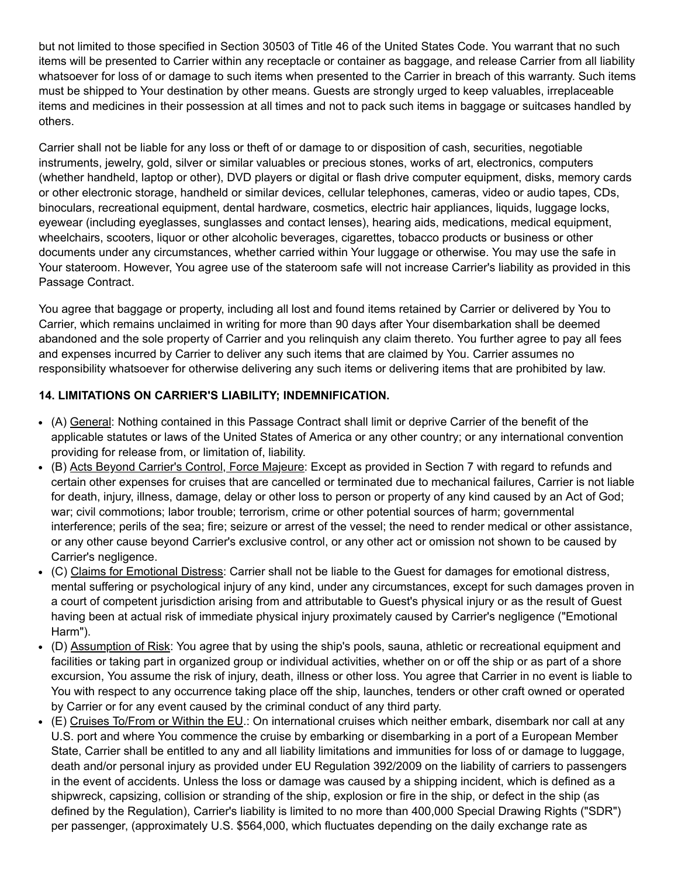but not limited to those specified in Section 30503 of Title 46 of the United States Code. You warrant that no such items will be presented to Carrier within any receptacle or container as baggage, and release Carrier from all liability whatsoever for loss of or damage to such items when presented to the Carrier in breach of this warranty. Such items must be shipped to Your destination by other means. Guests are strongly urged to keep valuables, irreplaceable items and medicines in their possession at all times and not to pack such items in baggage or suitcases handled by others.

Carrier shall not be liable for any loss or theft of or damage to or disposition of cash, securities, negotiable instruments, jewelry, gold, silver or similar valuables or precious stones, works of art, electronics, computers (whether handheld, laptop or other), DVD players or digital or flash drive computer equipment, disks, memory cards or other electronic storage, handheld or similar devices, cellular telephones, cameras, video or audio tapes, CDs, binoculars, recreational equipment, dental hardware, cosmetics, electric hair appliances, liquids, luggage locks, eyewear (including eyeglasses, sunglasses and contact lenses), hearing aids, medications, medical equipment, wheelchairs, scooters, liquor or other alcoholic beverages, cigarettes, tobacco products or business or other documents under any circumstances, whether carried within Your luggage or otherwise. You may use the safe in Your stateroom. However, You agree use of the stateroom safe will not increase Carrier's liability as provided in this Passage Contract.

You agree that baggage or property, including all lost and found items retained by Carrier or delivered by You to Carrier, which remains unclaimed in writing for more than 90 days after Your disembarkation shall be deemed abandoned and the sole property of Carrier and you relinquish any claim thereto. You further agree to pay all fees and expenses incurred by Carrier to deliver any such items that are claimed by You. Carrier assumes no responsibility whatsoever for otherwise delivering any such items or delivering items that are prohibited by law.

## **14. LIMITATIONS ON CARRIER'S LIABILITY; INDEMNIFICATION.**

- (A) General: Nothing contained in this Passage Contract shall limit or deprive Carrier of the benefit of the applicable statutes or laws of the United States of America or any other country; or any international convention providing for release from, or limitation of, liability.
- (B) Acts Beyond Carrier's Control, Force Majeure: Except as provided in Section 7 with regard to refunds and certain other expenses for cruises that are cancelled or terminated due to mechanical failures, Carrier is not liable for death, injury, illness, damage, delay or other loss to person or property of any kind caused by an Act of God; war; civil commotions; labor trouble; terrorism, crime or other potential sources of harm; governmental interference; perils of the sea; fire; seizure or arrest of the vessel; the need to render medical or other assistance, or any other cause beyond Carrier's exclusive control, or any other act or omission not shown to be caused by Carrier's negligence.
- (C) Claims for Emotional Distress: Carrier shall not be liable to the Guest for damages for emotional distress, mental suffering or psychological injury of any kind, under any circumstances, except for such damages proven in a court of competent jurisdiction arising from and attributable to Guest's physical injury or as the result of Guest having been at actual risk of immediate physical injury proximately caused by Carrier's negligence ("Emotional Harm").
- (D) Assumption of Risk: You agree that by using the ship's pools, sauna, athletic or recreational equipment and facilities or taking part in organized group or individual activities, whether on or off the ship or as part of a shore excursion, You assume the risk of injury, death, illness or other loss. You agree that Carrier in no event is liable to You with respect to any occurrence taking place off the ship, launches, tenders or other craft owned or operated by Carrier or for any event caused by the criminal conduct of any third party.
- (E) Cruises To/From or Within the EU.: On international cruises which neither embark, disembark nor call at any U.S. port and where You commence the cruise by embarking or disembarking in a port of a European Member State, Carrier shall be entitled to any and all liability limitations and immunities for loss of or damage to luggage, death and/or personal injury as provided under EU Regulation 392/2009 on the liability of carriers to passengers in the event of accidents. Unless the loss or damage was caused by a shipping incident, which is defined as a shipwreck, capsizing, collision or stranding of the ship, explosion or fire in the ship, or defect in the ship (as defined by the Regulation), Carrier's liability is limited to no more than 400,000 Special Drawing Rights ("SDR") per passenger, (approximately U.S. \$564,000, which fluctuates depending on the daily exchange rate as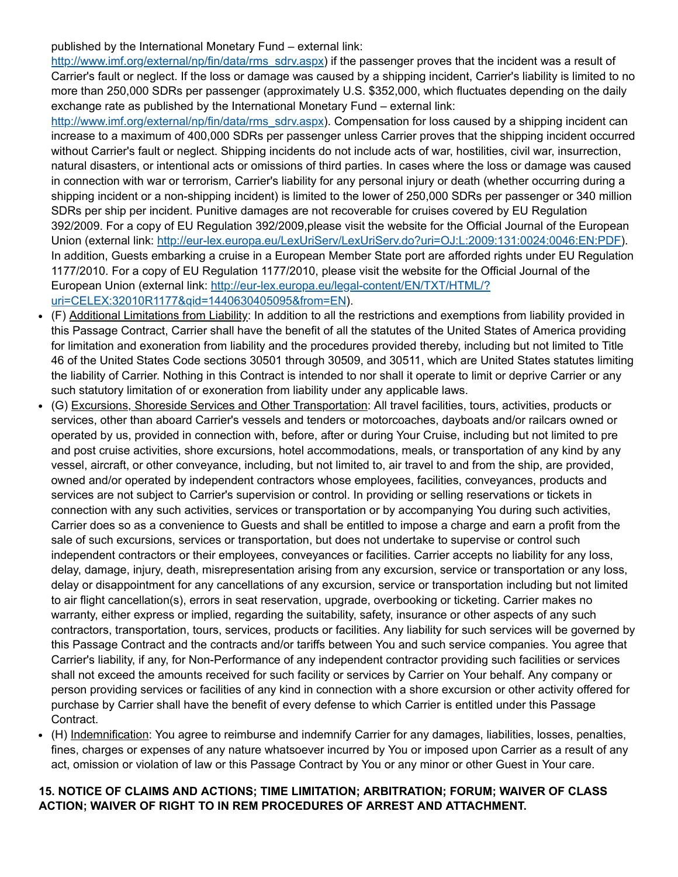published by the International Monetary Fund – external link:

[http://www.imf.org/external/np/fin/data/rms\\_sdrv.aspx](http://www.imf.org/external/np/fin/data/rms_sdrv.aspx)) if the passenger proves that the incident was a result of Carrier's fault or neglect. If the loss or damage was caused by a shipping incident, Carrier's liability is limited to no more than 250,000 SDRs per passenger (approximately U.S. \$352,000, which fluctuates depending on the daily exchange rate as published by the International Monetary Fund – external link:

[http://www.imf.org/external/np/fin/data/rms\\_sdrv.aspx](http://www.imf.org/external/np/fin/data/rms_sdrv.aspx)). Compensation for loss caused by a shipping incident can increase to a maximum of 400,000 SDRs per passenger unless Carrier proves that the shipping incident occurred without Carrier's fault or neglect. Shipping incidents do not include acts of war, hostilities, civil war, insurrection, natural disasters, or intentional acts or omissions of third parties. In cases where the loss or damage was caused in connection with war or terrorism, Carrier's liability for any personal injury or death (whether occurring during a shipping incident or a non-shipping incident) is limited to the lower of 250,000 SDRs per passenger or 340 million SDRs per ship per incident. Punitive damages are not recoverable for cruises covered by EU Regulation 392/2009. For a copy of EU Regulation 392/2009,please visit the website for the Official Journal of the European Union (external link: http://eur-lex.europa.eu/LexUriServ/LexUriServ.do?uri=OJ:L:2009:131:0024:0046:EN:PDF). In addition, Guests embarking a cruise in a European Member State port are afforded rights under EU Regulation 1177/2010. For a copy of EU Regulation 1177/2010, please visit the website for the Official Journal of the European Union (external link: http://eur-lex.europa.eu/legal-content/EN/TXT/HTML/? uri=CELEX:32010R1177&qid=1440630405095&from=EN).

- (F) Additional Limitations from Liability: In addition to all the restrictions and exemptions from liability provided in this Passage Contract, Carrier shall have the benefit of all the statutes of the United States of America providing for limitation and exoneration from liability and the procedures provided thereby, including but not limited to Title 46 of the United States Code sections 30501 through 30509, and 30511, which are United States statutes limiting the liability of Carrier. Nothing in this Contract is intended to nor shall it operate to limit or deprive Carrier or any such statutory limitation of or exoneration from liability under any applicable laws.
- (G) Excursions, Shoreside Services and Other Transportation: All travel facilities, tours, activities, products or  $\bullet$ services, other than aboard Carrier's vessels and tenders or motorcoaches, dayboats and/or railcars owned or operated by us, provided in connection with, before, after or during Your Cruise, including but not limited to pre and post cruise activities, shore excursions, hotel accommodations, meals, or transportation of any kind by any vessel, aircraft, or other conveyance, including, but not limited to, air travel to and from the ship, are provided, owned and/or operated by independent contractors whose employees, facilities, conveyances, products and services are not subject to Carrier's supervision or control. In providing or selling reservations or tickets in connection with any such activities, services or transportation or by accompanying You during such activities, Carrier does so as a convenience to Guests and shall be entitled to impose a charge and earn a profit from the sale of such excursions, services or transportation, but does not undertake to supervise or control such independent contractors or their employees, conveyances or facilities. Carrier accepts no liability for any loss, delay, damage, injury, death, misrepresentation arising from any excursion, service or transportation or any loss, delay or disappointment for any cancellations of any excursion, service or transportation including but not limited to air flight cancellation(s), errors in seat reservation, upgrade, overbooking or ticketing. Carrier makes no warranty, either express or implied, regarding the suitability, safety, insurance or other aspects of any such contractors, transportation, tours, services, products or facilities. Any liability for such services will be governed by this Passage Contract and the contracts and/or tariffs between You and such service companies. You agree that Carrier's liability, if any, for Non-Performance of any independent contractor providing such facilities or services shall not exceed the amounts received for such facility or services by Carrier on Your behalf. Any company or person providing services or facilities of any kind in connection with a shore excursion or other activity offered for purchase by Carrier shall have the benefit of every defense to which Carrier is entitled under this Passage Contract.
- (H) Indemnification: You agree to reimburse and indemnify Carrier for any damages, liabilities, losses, penalties,  $\bullet$ fines, charges or expenses of any nature whatsoever incurred by You or imposed upon Carrier as a result of any act, omission or violation of law or this Passage Contract by You or any minor or other Guest in Your care.

### **15. NOTICE OF CLAIMS AND ACTIONS; TIME LIMITATION; ARBITRATION; FORUM; WAIVER OF CLASS ACTION; WAIVER OF RIGHT TO IN REM PROCEDURES OF ARREST AND ATTACHMENT.**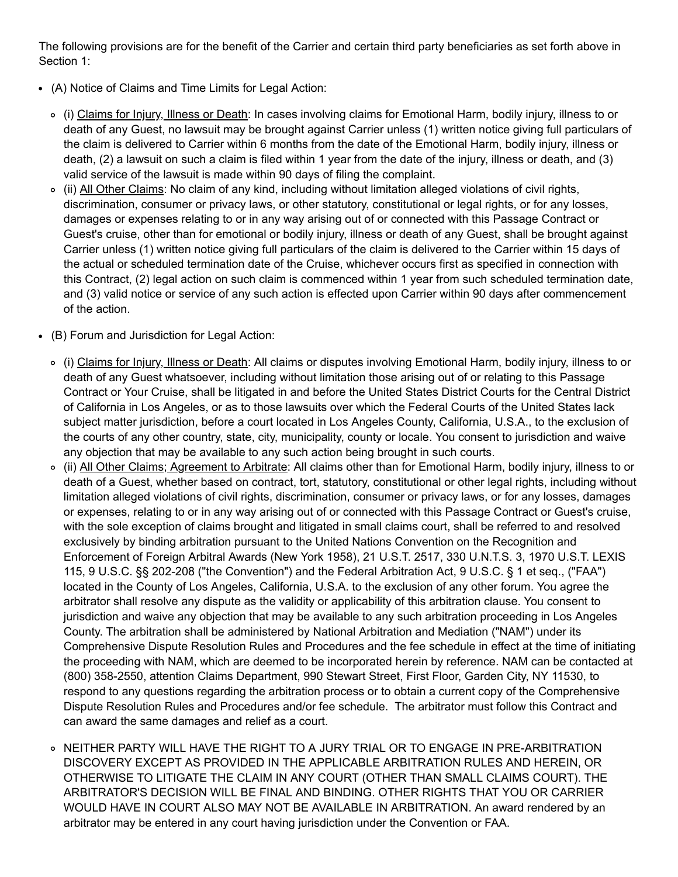The following provisions are for the benefit of the Carrier and certain third party beneficiaries as set forth above in Section 1:

- (A) Notice of Claims and Time Limits for Legal Action:
	- (i) Claims for Injury, Illness or Death: In cases involving claims for Emotional Harm, bodily injury, illness to or death of any Guest, no lawsuit may be brought against Carrier unless (1) written notice giving full particulars of the claim is delivered to Carrier within 6 months from the date of the Emotional Harm, bodily injury, illness or death, (2) a lawsuit on such a claim is filed within 1 year from the date of the injury, illness or death, and (3) valid service of the lawsuit is made within 90 days of filing the complaint.
	- (ii) All Other Claims: No claim of any kind, including without limitation alleged violations of civil rights, discrimination, consumer or privacy laws, or other statutory, constitutional or legal rights, or for any losses, damages or expenses relating to or in any way arising out of or connected with this Passage Contract or Guest's cruise, other than for emotional or bodily injury, illness or death of any Guest, shall be brought against Carrier unless (1) written notice giving full particulars of the claim is delivered to the Carrier within 15 days of the actual or scheduled termination date of the Cruise, whichever occurs first as specified in connection with this Contract, (2) legal action on such claim is commenced within 1 year from such scheduled termination date, and (3) valid notice or service of any such action is effected upon Carrier within 90 days after commencement of the action.
- (B) Forum and Jurisdiction for Legal Action:
	- (i) Claims for Injury, Illness or Death: All claims or disputes involving Emotional Harm, bodily injury, illness to or death of any Guest whatsoever, including without limitation those arising out of or relating to this Passage Contract or Your Cruise, shall be litigated in and before the United States District Courts for the Central District of California in Los Angeles, or as to those lawsuits over which the Federal Courts of the United States lack subject matter jurisdiction, before a court located in Los Angeles County, California, U.S.A., to the exclusion of the courts of any other country, state, city, municipality, county or locale. You consent to jurisdiction and waive any objection that may be available to any such action being brought in such courts.
	- (ii) All Other Claims; Agreement to Arbitrate: All claims other than for Emotional Harm, bodily injury, illness to or death of a Guest, whether based on contract, tort, statutory, constitutional or other legal rights, including without limitation alleged violations of civil rights, discrimination, consumer or privacy laws, or for any losses, damages or expenses, relating to or in any way arising out of or connected with this Passage Contract or Guest's cruise, with the sole exception of claims brought and litigated in small claims court, shall be referred to and resolved exclusively by binding arbitration pursuant to the United Nations Convention on the Recognition and Enforcement of Foreign Arbitral Awards (New York 1958), 21 U.S.T. 2517, 330 U.N.T.S. 3, 1970 U.S.T. LEXIS 115, 9 U.S.C. §§ 202-208 ("the Convention") and the Federal Arbitration Act, 9 U.S.C. § 1 et seq., ("FAA") located in the County of Los Angeles, California, U.S.A. to the exclusion of any other forum. You agree the arbitrator shall resolve any dispute as the validity or applicability of this arbitration clause. You consent to jurisdiction and waive any objection that may be available to any such arbitration proceeding in Los Angeles County. The arbitration shall be administered by National Arbitration and Mediation ("NAM") under its Comprehensive Dispute Resolution Rules and Procedures and the fee schedule in effect at the time of initiating the proceeding with NAM, which are deemed to be incorporated herein by reference. NAM can be contacted at (800) 3582550, attention Claims Department, 990 Stewart Street, First Floor, Garden City, NY 11530, to respond to any questions regarding the arbitration process or to obtain a current copy of the Comprehensive Dispute Resolution Rules and Procedures and/or fee schedule. The arbitrator must follow this Contract and can award the same damages and relief as a court.
	- o NEITHER PARTY WILL HAVE THE RIGHT TO A JURY TRIAL OR TO ENGAGE IN PRE-ARBITRATION DISCOVERY EXCEPT AS PROVIDED IN THE APPLICABLE ARBITRATION RULES AND HEREIN, OR OTHERWISE TO LITIGATE THE CLAIM IN ANY COURT (OTHER THAN SMALL CLAIMS COURT). THE ARBITRATOR'S DECISION WILL BE FINAL AND BINDING. OTHER RIGHTS THAT YOU OR CARRIER WOULD HAVE IN COURT ALSO MAY NOT BE AVAILABLE IN ARBITRATION. An award rendered by an arbitrator may be entered in any court having jurisdiction under the Convention or FAA.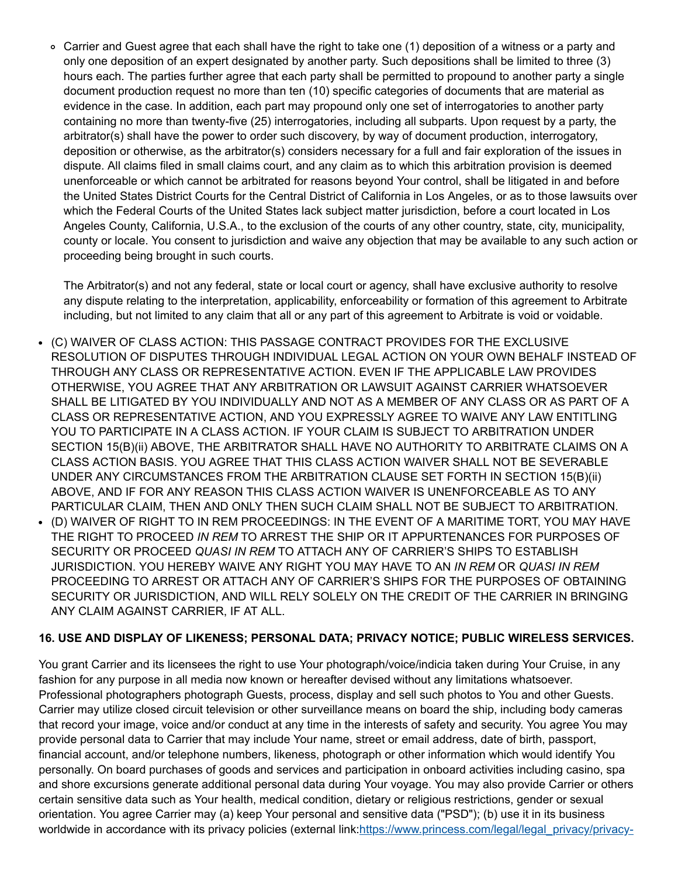Carrier and Guest agree that each shall have the right to take one (1) deposition of a witness or a party and only one deposition of an expert designated by another party. Such depositions shall be limited to three (3) hours each. The parties further agree that each party shall be permitted to propound to another party a single document production request no more than ten (10) specific categories of documents that are material as evidence in the case. In addition, each part may propound only one set of interrogatories to another party containing no more than twenty-five (25) interrogatories, including all subparts. Upon request by a party, the arbitrator(s) shall have the power to order such discovery, by way of document production, interrogatory, deposition or otherwise, as the arbitrator(s) considers necessary for a full and fair exploration of the issues in dispute. All claims filed in small claims court, and any claim as to which this arbitration provision is deemed unenforceable or which cannot be arbitrated for reasons beyond Your control, shall be litigated in and before the United States District Courts for the Central District of California in Los Angeles, or as to those lawsuits over which the Federal Courts of the United States lack subject matter jurisdiction, before a court located in Los Angeles County, California, U.S.A., to the exclusion of the courts of any other country, state, city, municipality, county or locale. You consent to jurisdiction and waive any objection that may be available to any such action or proceeding being brought in such courts.

The Arbitrator(s) and not any federal, state or local court or agency, shall have exclusive authority to resolve any dispute relating to the interpretation, applicability, enforceability or formation of this agreement to Arbitrate including, but not limited to any claim that all or any part of this agreement to Arbitrate is void or voidable.

- (C) WAIVER OF CLASS ACTION: THIS PASSAGE CONTRACT PROVIDES FOR THE EXCLUSIVE RESOLUTION OF DISPUTES THROUGH INDIVIDUAL LEGAL ACTION ON YOUR OWN BEHALF INSTEAD OF THROUGH ANY CLASS OR REPRESENTATIVE ACTION. EVEN IF THE APPLICABLE LAW PROVIDES OTHERWISE, YOU AGREE THAT ANY ARBITRATION OR LAWSUIT AGAINST CARRIER WHATSOEVER SHALL BE LITIGATED BY YOU INDIVIDUALLY AND NOT AS A MEMBER OF ANY CLASS OR AS PART OF A CLASS OR REPRESENTATIVE ACTION, AND YOU EXPRESSLY AGREE TO WAIVE ANY LAW ENTITLING YOU TO PARTICIPATE IN A CLASS ACTION. IF YOUR CLAIM IS SUBJECT TO ARBITRATION UNDER SECTION 15(B)(ii) ABOVE, THE ARBITRATOR SHALL HAVE NO AUTHORITY TO ARBITRATE CLAIMS ON A CLASS ACTION BASIS. YOU AGREE THAT THIS CLASS ACTION WAIVER SHALL NOT BE SEVERABLE UNDER ANY CIRCUMSTANCES FROM THE ARBITRATION CLAUSE SET FORTH IN SECTION 15(B)(ii) ABOVE, AND IF FOR ANY REASON THIS CLASS ACTION WAIVER IS UNENFORCEABLE AS TO ANY PARTICULAR CLAIM, THEN AND ONLY THEN SUCH CLAIM SHALL NOT BE SUBJECT TO ARBITRATION. (D) WAIVER OF RIGHT TO IN REM PROCEEDINGS: IN THE EVENT OF A MARITIME TORT, YOU MAY HAVE
- THE RIGHT TO PROCEED *IN REM* TO ARREST THE SHIP OR IT APPURTENANCES FOR PURPOSES OF SECURITY OR PROCEED *QUASI IN REM* TO ATTACH ANY OF CARRIER'S SHIPS TO ESTABLISH JURISDICTION. YOU HEREBY WAIVE ANY RIGHT YOU MAY HAVE TO AN *IN REM* OR *QUASI IN REM* PROCEEDING TO ARREST OR ATTACH ANY OF CARRIER'S SHIPS FOR THE PURPOSES OF OBTAINING SECURITY OR JURISDICTION, AND WILL RELY SOLELY ON THE CREDIT OF THE CARRIER IN BRINGING ANY CLAIM AGAINST CARRIER, IF AT ALL.

#### **16. USE AND DISPLAY OF LIKENESS; PERSONAL DATA; PRIVACY NOTICE; PUBLIC WIRELESS SERVICES.**

You grant Carrier and its licensees the right to use Your photograph/voice/indicia taken during Your Cruise, in any fashion for any purpose in all media now known or hereafter devised without any limitations whatsoever. Professional photographers photograph Guests, process, display and sell such photos to You and other Guests. Carrier may utilize closed circuit television or other surveillance means on board the ship, including body cameras that record your image, voice and/or conduct at any time in the interests of safety and security. You agree You may provide personal data to Carrier that may include Your name, street or email address, date of birth, passport, financial account, and/or telephone numbers, likeness, photograph or other information which would identify You personally. On board purchases of goods and services and participation in onboard activities including casino, spa and shore excursions generate additional personal data during Your voyage. You may also provide Carrier or others certain sensitive data such as Your health, medical condition, dietary or religious restrictions, gender or sexual orientation. You agree Carrier may (a) keep Your personal and sensitive data ("PSD"); (b) use it in its business [worldwide in accordance with its privacy policies \(external link:https://www.princess.com/legal/legal\\_privacy/privacy](https://www.princess.com/legal/legal_privacy/privacy-policy-pcl.html)-